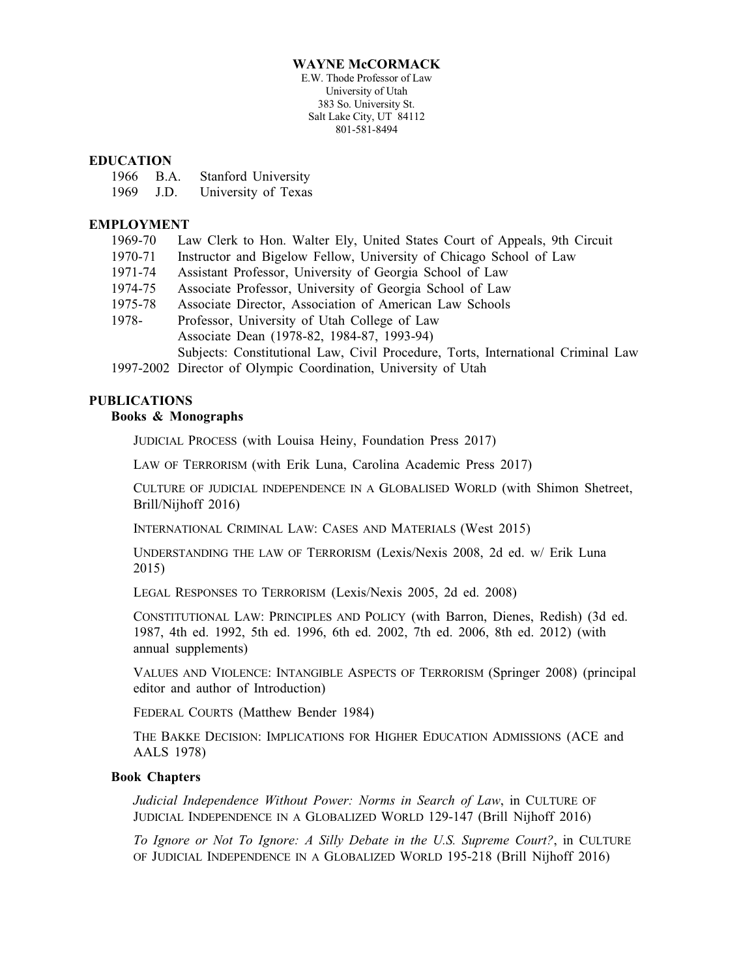#### **WAYNE McCORMACK**

E.W. Thode Professor of Law University of Utah 383 So. University St. Salt Lake City, UT 84112 801-581-8494

#### **EDUCATION**

|      | 1966 B.A. | Stanford University |
|------|-----------|---------------------|
| 1969 | J.D.      | University of Texas |

## **EMPLOYMENT**

| 1969-70 | Law Clerk to Hon. Walter Ely, United States Court of Appeals, 9th Circuit        |  |  |
|---------|----------------------------------------------------------------------------------|--|--|
| 1970-71 | Instructor and Bigelow Fellow, University of Chicago School of Law               |  |  |
| 1971-74 | Assistant Professor, University of Georgia School of Law                         |  |  |
| 1974-75 | Associate Professor, University of Georgia School of Law                         |  |  |
| 1975-78 | Associate Director, Association of American Law Schools                          |  |  |
| 1978-   | Professor, University of Utah College of Law                                     |  |  |
|         | Associate Dean (1978-82, 1984-87, 1993-94)                                       |  |  |
|         | Subjects: Constitutional Law, Civil Procedure, Torts, International Criminal Law |  |  |
|         | 1007.2002.5                                                                      |  |  |

1997-2002 Director of Olympic Coordination, University of Utah

# **PUBLICATIONS**

#### **Books & Monographs**

JUDICIAL PROCESS (with Louisa Heiny, Foundation Press 2017)

LAW OF TERRORISM (with Erik Luna, Carolina Academic Press 2017)

CULTURE OF JUDICIAL INDEPENDENCE IN A GLOBALISED WORLD (with Shimon Shetreet, Brill/Nijhoff 2016)

INTERNATIONAL CRIMINAL LAW: CASES AND MATERIALS (West 2015)

UNDERSTANDING THE LAW OF TERRORISM (Lexis/Nexis 2008, 2d ed. w/ Erik Luna 2015)

LEGAL RESPONSES TO TERRORISM (Lexis/Nexis 2005, 2d ed. 2008)

CONSTITUTIONAL LAW: PRINCIPLES AND POLICY (with Barron, Dienes, Redish) (3d ed. 1987, 4th ed. 1992, 5th ed. 1996, 6th ed. 2002, 7th ed. 2006, 8th ed. 2012) (with annual supplements)

VALUES AND VIOLENCE: INTANGIBLE ASPECTS OF TERRORISM (Springer 2008) (principal editor and author of Introduction)

FEDERAL COURTS (Matthew Bender 1984)

THE BAKKE DECISION: IMPLICATIONS FOR HIGHER EDUCATION ADMISSIONS (ACE and AALS 1978)

## **Book Chapters**

*Judicial Independence Without Power: Norms in Search of Law*, in CULTURE OF JUDICIAL INDEPENDENCE IN A GLOBALIZED WORLD 129-147 (Brill Nijhoff 2016)

*To Ignore or Not To Ignore: A Silly Debate in the U.S. Supreme Court?*, in CULTURE OF JUDICIAL INDEPENDENCE IN A GLOBALIZED WORLD 195-218 (Brill Nijhoff 2016)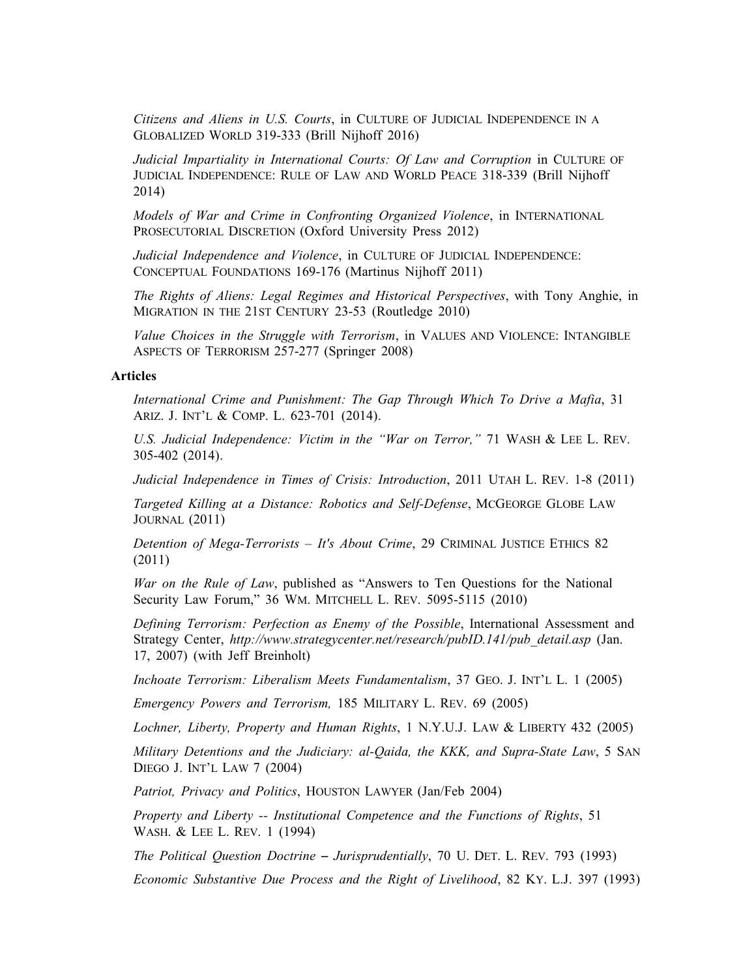*Citizens and Aliens in U.S. Courts*, in CULTURE OF JUDICIAL INDEPENDENCE IN A GLOBALIZED WORLD 319-333 (Brill Nijhoff 2016)

*Judicial Impartiality in International Courts: Of Law and Corruption* in CULTURE OF JUDICIAL INDEPENDENCE: RULE OF LAW AND WORLD PEACE 318-339 (Brill Nijhoff 2014)

*Models of War and Crime in Confronting Organized Violence*, in INTERNATIONAL PROSECUTORIAL DISCRETION (Oxford University Press 2012)

*Judicial Independence and Violence*, in CULTURE OF JUDICIAL INDEPENDENCE: CONCEPTUAL FOUNDATIONS 169-176 (Martinus Nijhoff 2011)

*The Rights of Aliens: Legal Regimes and Historical Perspectives*, with Tony Anghie, in MIGRATION IN THE 21ST CENTURY 23-53 (Routledge 2010)

*Value Choices in the Struggle with Terrorism*, in VALUES AND VIOLENCE: INTANGIBLE ASPECTS OF TERRORISM 257-277 (Springer 2008)

## **Articles**

*International Crime and Punishment: The Gap Through Which To Drive a Mafia*, 31 ARIZ. J. INT'L & COMP. L. 623-701 (2014).

*U.S. Judicial Independence: Victim in the "War on Terror,"* 71 WASH & LEE L. REV. 305-402 (2014).

*Judicial Independence in Times of Crisis: Introduction*, 2011 UTAH L. REV. 1-8 (2011)

*Targeted Killing at a Distance: Robotics and Self-Defense*, MCGEORGE GLOBE LAW JOURNAL (2011)

*Detention of Mega-Terrorists – It's About Crime*, 29 CRIMINAL JUSTICE ETHICS 82 (2011)

*War on the Rule of Law*, published as "Answers to Ten Questions for the National Security Law Forum," 36 WM. MITCHELL L. REV. 5095-5115 (2010)

*Defining Terrorism: Perfection as Enemy of the Possible*, International Assessment and Strategy Center, *http://www.strategycenter.net/research/pubID.141/pub\_detail.asp* (Jan. 17, 2007) (with Jeff Breinholt)

*Inchoate Terrorism: Liberalism Meets Fundamentalism*, 37 GEO. J. INT'L L. 1 (2005)

*Emergency Powers and Terrorism,* 185 MILITARY L. REV. 69 (2005)

*Lochner, Liberty, Property and Human Rights*, 1 N.Y.U.J. LAW & LIBERTY 432 (2005)

*Military Detentions and the Judiciary: al-Qaida, the KKK, and Supra-State Law*, 5 SAN DIEGO J. INT'L LAW 7 (2004)

*Patriot, Privacy and Politics*, HOUSTON LAWYER (Jan/Feb 2004)

*Property and Liberty -- Institutional Competence and the Functions of Rights*, 51 WASH. & LEE L. REV. 1 (1994)

*The Political Question Doctrine – Jurisprudentially, 70 U. DET. L. REV. 793 (1993)* 

*Economic Substantive Due Process and the Right of Livelihood*, 82 KY. L.J. 397 (1993)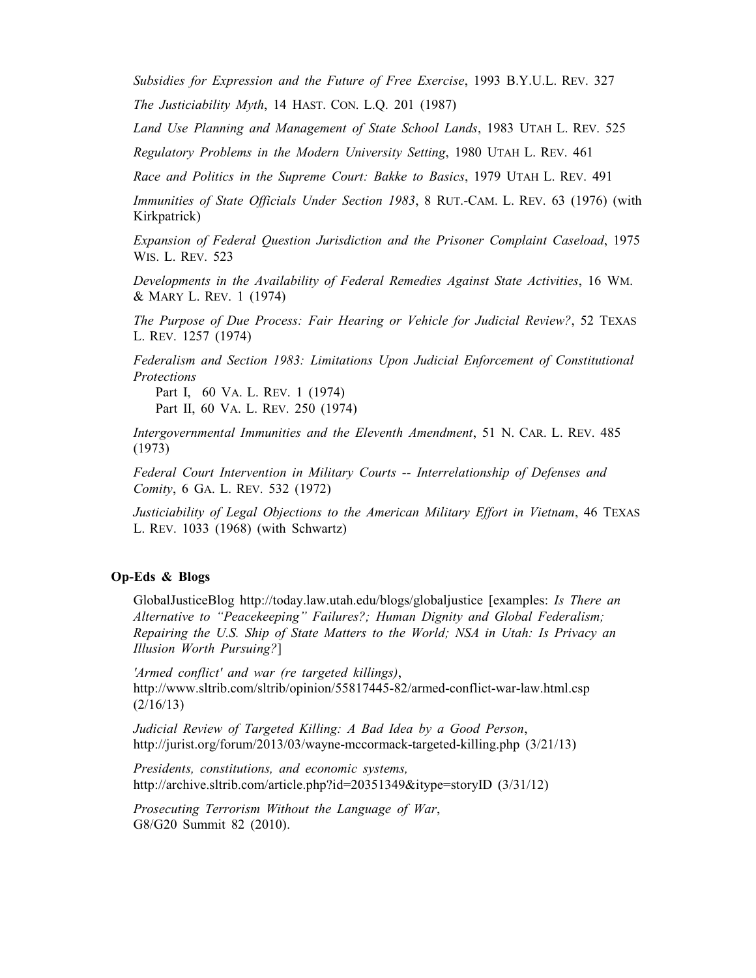*Subsidies for Expression and the Future of Free Exercise*, 1993 B.Y.U.L. REV. 327

*The Justiciability Myth*, 14 HAST. CON. L.Q. 201 (1987)

*Land Use Planning and Management of State School Lands*, 1983 UTAH L. REV. 525

*Regulatory Problems in the Modern University Setting*, 1980 UTAH L. REV. 461

*Race and Politics in the Supreme Court: Bakke to Basics*, 1979 UTAH L. REV. 491

*Immunities of State Officials Under Section 1983*, 8 RUT.-CAM. L. REV. 63 (1976) (with Kirkpatrick)

*Expansion of Federal Question Jurisdiction and the Prisoner Complaint Caseload*, 1975 WIS. L. REV. 523

*Developments in the Availability of Federal Remedies Against State Activities*, 16 WM. & MARY L. REV. 1 (1974)

*The Purpose of Due Process: Fair Hearing or Vehicle for Judicial Review?*, 52 TEXAS L. REV. 1257 (1974)

*Federalism and Section 1983: Limitations Upon Judicial Enforcement of Constitutional Protections*

Part I, 60 VA. L. REV. 1 (1974) Part II, 60 VA. L. REV. 250 (1974)

*Intergovernmental Immunities and the Eleventh Amendment*, 51 N. CAR. L. REV. 485 (1973)

*Federal Court Intervention in Military Courts -- Interrelationship of Defenses and Comity*, 6 GA. L. REV. 532 (1972)

*Justiciability of Legal Objections to the American Military Effort in Vietnam*, 46 TEXAS L. REV. 1033 (1968) (with Schwartz)

## **Op-Eds & Blogs**

GlobalJusticeBlog http://today.law.utah.edu/blogs/globaljustice [examples: *Is There an Alternative to "Peacekeeping" Failures?; Human Dignity and Global Federalism; Repairing the U.S. Ship of State Matters to the World; NSA in Utah: Is Privacy an Illusion Worth Pursuing?*]

*'Armed conflict' and war (re targeted killings)*, http://www.sltrib.com/sltrib/opinion/55817445-82/armed-conflict-war-law.html.csp  $(2/16/13)$ 

*Judicial Review of Targeted Killing: A Bad Idea by a Good Person*, http://jurist.org/forum/2013/03/wayne-mccormack-targeted-killing.php (3/21/13)

*Presidents, constitutions, and economic systems,* http://archive.sltrib.com/article.php?id=20351349&itype=storyID (3/31/12)

*Prosecuting Terrorism Without the Language of War*, G8/G20 Summit 82 (2010).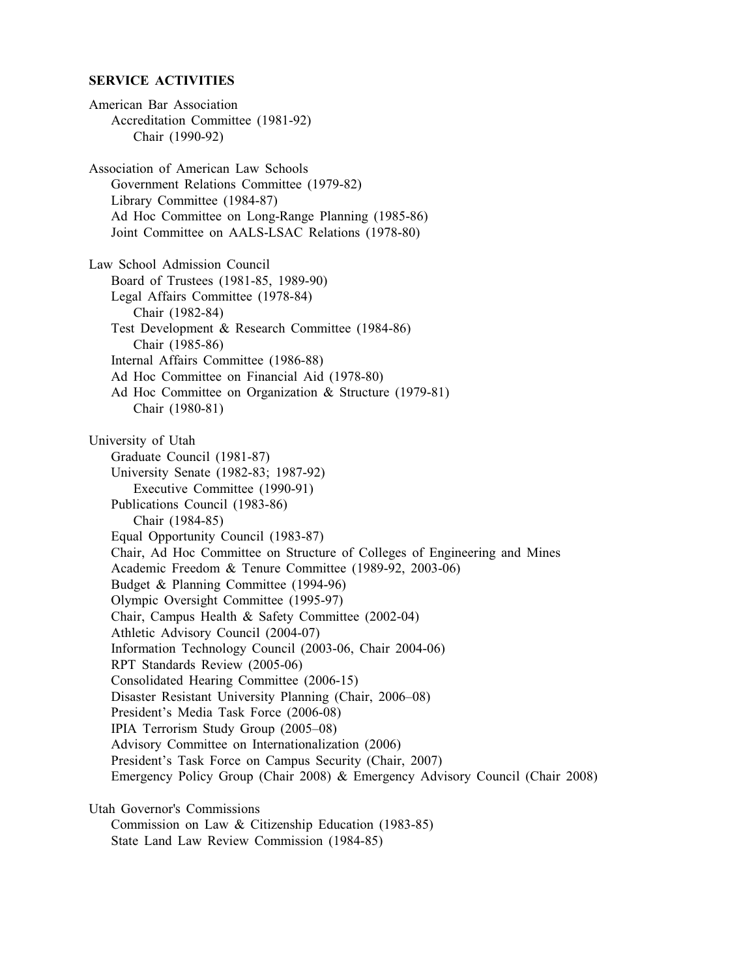#### **SERVICE ACTIVITIES**

American Bar Association Accreditation Committee (1981-92) Chair (1990-92) Association of American Law Schools Government Relations Committee (1979-82) Library Committee (1984-87) Ad Hoc Committee on Long-Range Planning (1985-86) Joint Committee on AALS-LSAC Relations (1978-80) Law School Admission Council Board of Trustees (1981-85, 1989-90) Legal Affairs Committee (1978-84) Chair (1982-84) Test Development & Research Committee (1984-86) Chair (1985-86) Internal Affairs Committee (1986-88) Ad Hoc Committee on Financial Aid (1978-80) Ad Hoc Committee on Organization & Structure (1979-81) Chair (1980-81) University of Utah Graduate Council (1981-87) University Senate (1982-83; 1987-92) Executive Committee (1990-91) Publications Council (1983-86) Chair (1984-85) Equal Opportunity Council (1983-87) Chair, Ad Hoc Committee on Structure of Colleges of Engineering and Mines Academic Freedom & Tenure Committee (1989-92, 2003-06) Budget & Planning Committee (1994-96) Olympic Oversight Committee (1995-97) Chair, Campus Health & Safety Committee (2002-04) Athletic Advisory Council (2004-07) Information Technology Council (2003-06, Chair 2004-06) RPT Standards Review (2005-06) Consolidated Hearing Committee (2006-15) Disaster Resistant University Planning (Chair, 2006–08) President's Media Task Force (2006-08) IPIA Terrorism Study Group (2005–08) Advisory Committee on Internationalization (2006) President's Task Force on Campus Security (Chair, 2007) Emergency Policy Group (Chair 2008) & Emergency Advisory Council (Chair 2008) Utah Governor's Commissions Commission on Law & Citizenship Education (1983-85)

State Land Law Review Commission (1984-85)